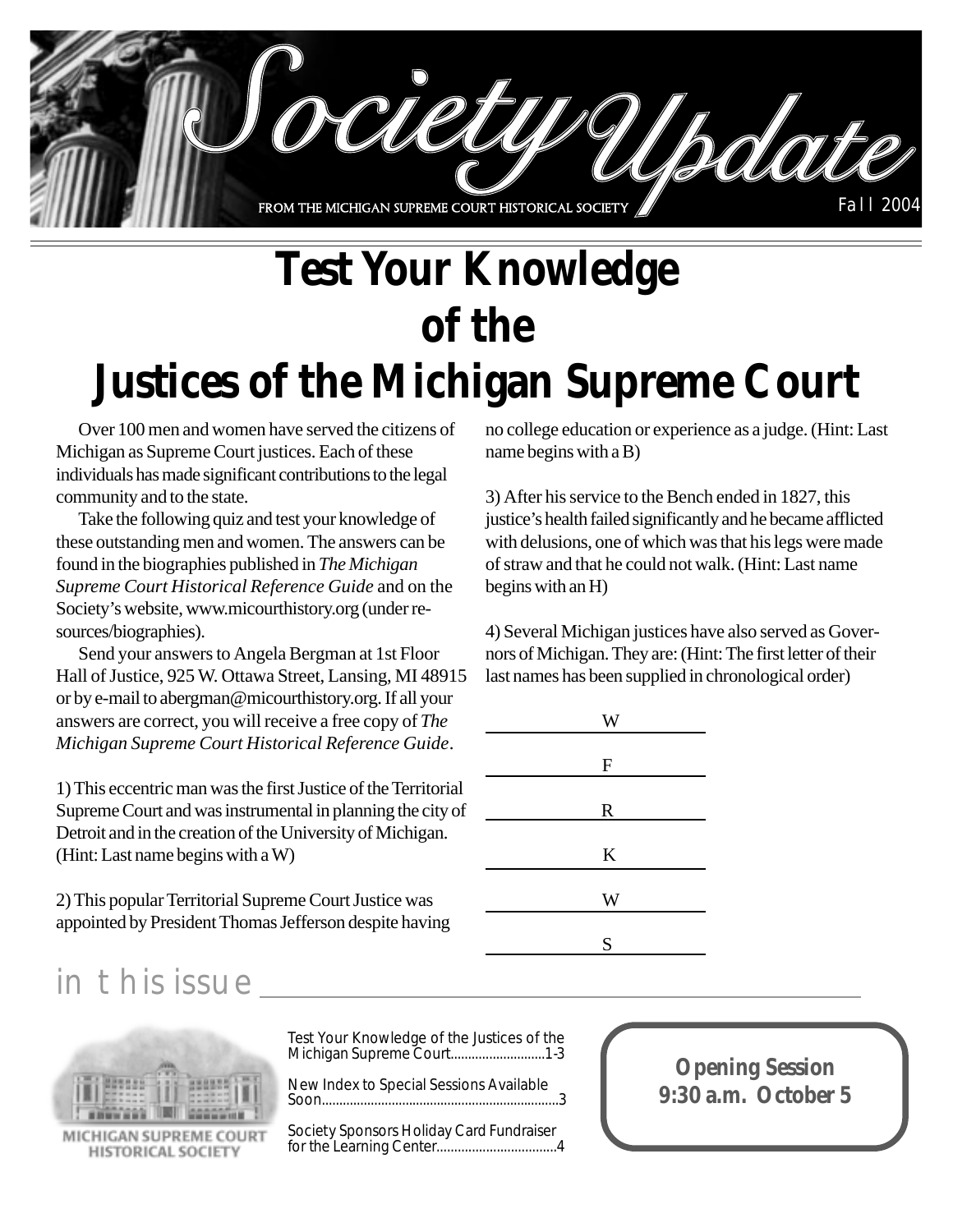

## **Test Your Knowledge of the Justices of the Michigan Supreme Court**

Over 100 men and women have served the citizens of Michigan as Supreme Court justices. Each of these individuals has made significant contributions to the legal community and to the state.

Take the following quiz and test your knowledge of these outstanding men and women. The answers can be found in the biographies published in *The Michigan Supreme Court Historical Reference Guide* and on the Society's website, www.micourthistory.org (under resources/biographies).

Send your answers to Angela Bergman at 1st Floor Hall of Justice, 925 W. Ottawa Street, Lansing, MI 48915 or by e-mail to abergman@micourthistory.org. If all your answers are correct, you will receive a free copy of *The Michigan Supreme Court Historical Reference Guide*.

1) This eccentric man was the first Justice of the Territorial Supreme Court and was instrumental in planning the city of Detroit and in the creation of the University of Michigan. (Hint: Last name begins with a W)

2) This popular Territorial Supreme Court Justice was appointed by President Thomas Jefferson despite having no college education or experience as a judge. (Hint: Last name begins with a B)

3) After his service to the Bench ended in 1827, this justice's health failed significantly and he became afflicted with delusions, one of which was that his legs were made of straw and that he could not walk. (Hint: Last name begins with an H)

4) Several Michigan justices have also served as Governors of Michigan. They are: (Hint: The first letter of their last names has been supplied in chronological order)

| W                         |
|---------------------------|
| $\boldsymbol{\mathrm{F}}$ |
| $\mathbf R$               |
| $\bf K$                   |
| W                         |
| S                         |

## in this issue



MICHIGAN SUPREME COURT HISTORICAL SOCIETY

Test Your Knowledge of the Justices of the Michigan Supreme Court...........................1-3

New Index to Special Sessions Available Soon....................................................................3

Society Sponsors Holiday Card Fundraiser for the Learning Center..................................4

**Opening Session 9:30 a.m. October 5**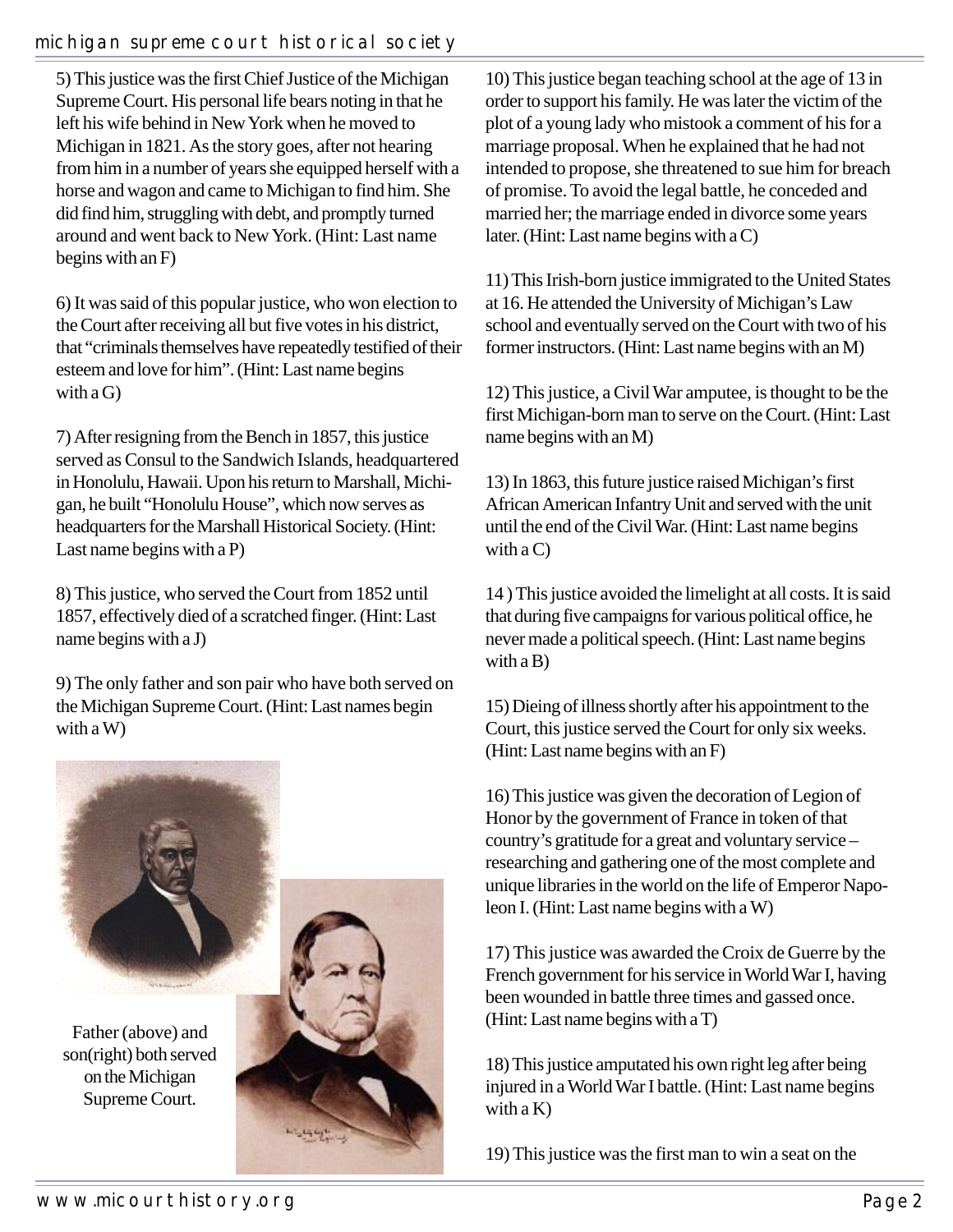5) This justice was the first Chief Justice of the Michigan Supreme Court. His personal life bears noting in that he left his wife behind in New York when he moved to Michigan in 1821. As the story goes, after not hearing from him in a number of years she equipped herself with a horse and wagon and came to Michigan to find him. She did find him, struggling with debt, and promptly turned around and went back to New York. (Hint: Last name begins with an F)

6) It was said of this popular justice, who won election to the Court after receiving all but five votes in his district, that "criminals themselves have repeatedly testified of their esteem and love for him". (Hint: Last name begins with  $a(G)$ 

7) After resigning from the Bench in 1857, this justice served as Consul to the Sandwich Islands, headquartered in Honolulu, Hawaii. Upon his return to Marshall, Michigan, he built "Honolulu House", which now serves as headquarters for the Marshall Historical Society. (Hint: Last name begins with a P)

8) This justice, who served the Court from 1852 until 1857, effectively died of a scratched finger. (Hint: Last name begins with a J)

9) The only father and son pair who have both served on the Michigan Supreme Court. (Hint: Last names begin with a W)



Father (above) and son(right) both served on the Michigan Supreme Court.



10) This justice began teaching school at the age of 13 in order to support his family. He was later the victim of the plot of a young lady who mistook a comment of his for a marriage proposal. When he explained that he had not intended to propose, she threatened to sue him for breach of promise. To avoid the legal battle, he conceded and married her; the marriage ended in divorce some years later. (Hint: Last name begins with a C)

11) This Irish-born justice immigrated to the United States at 16. He attended the University of Michigan's Law school and eventually served on the Court with two of his former instructors. (Hint: Last name begins with an M)

12) This justice, a Civil War amputee, is thought to be the first Michigan-born man to serve on the Court. (Hint: Last name begins with an M)

13) In 1863, this future justice raised Michigan's first African American Infantry Unit and served with the unit until the end of the Civil War. (Hint: Last name begins with  $a C$ )

14 ) This justice avoided the limelight at all costs. It is said that during five campaigns for various political office, he never made a political speech. (Hint: Last name begins with a B)

15) Dieing of illness shortly after his appointment to the Court, this justice served the Court for only six weeks. (Hint: Last name begins with an F)

16) This justice was given the decoration of Legion of Honor by the government of France in token of that country's gratitude for a great and voluntary service – researching and gathering one of the most complete and unique libraries in the world on the life of Emperor Napoleon I. (Hint: Last name begins with a W)

17) This justice was awarded the Croix de Guerre by the French government for his service in World War I, having been wounded in battle three times and gassed once. (Hint: Last name begins with a T)

18) This justice amputated his own right leg after being injured in a World War I battle. (Hint: Last name begins with a K)

19) This justice was the first man to win a seat on the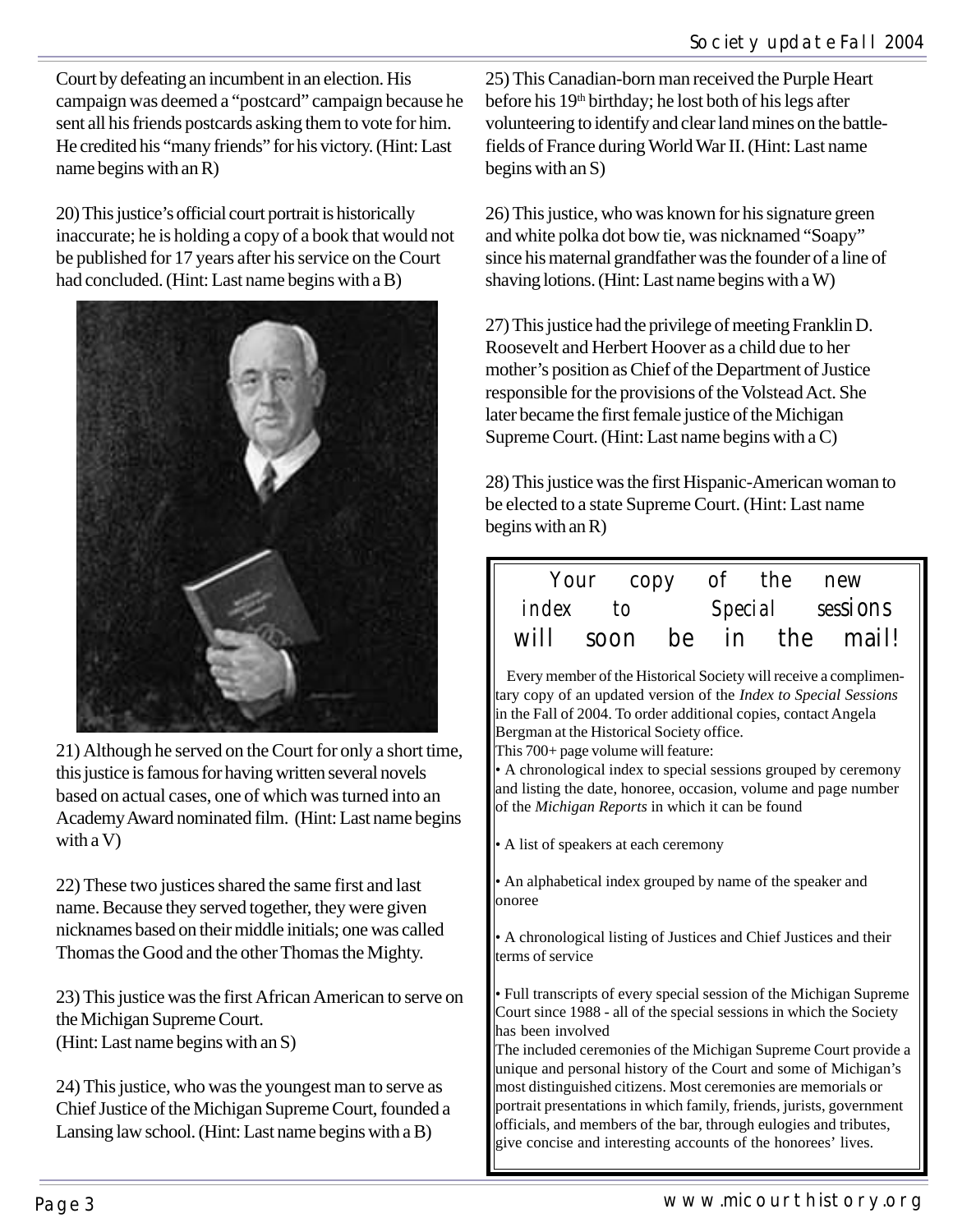Court by defeating an incumbent in an election. His campaign was deemed a "postcard" campaign because he sent all his friends postcards asking them to vote for him. He credited his "many friends" for his victory. (Hint: Last name begins with an R)

20) This justice's official court portrait is historically inaccurate; he is holding a copy of a book that would not be published for 17 years after his service on the Court had concluded. (Hint: Last name begins with a B)



21) Although he served on the Court for only a short time, this justice is famous for having written several novels based on actual cases, one of which was turned into an Academy Award nominated film. (Hint: Last name begins with a V)

22) These two justices shared the same first and last name. Because they served together, they were given nicknames based on their middle initials; one was called Thomas the Good and the other Thomas the Mighty.

23) This justice was the first African American to serve on the Michigan Supreme Court. (Hint: Last name begins with an S)

24) This justice, who was the youngest man to serve as Chief Justice of the Michigan Supreme Court, founded a Lansing law school. (Hint: Last name begins with a B)

25) This Canadian-born man received the Purple Heart before his 19<sup>th</sup> birthday; he lost both of his legs after volunteering to identify and clear land mines on the battlefields of France during World War II. (Hint: Last name begins with an S)

26) This justice, who was known for his signature green and white polka dot bow tie, was nicknamed "Soapy" since his maternal grandfather was the founder of a line of shaving lotions. (Hint: Last name begins with a W)

27) This justice had the privilege of meeting Franklin D. Roosevelt and Herbert Hoover as a child due to her mother's position as Chief of the Department of Justice responsible for the provisions of the Volstead Act. She later became the first female justice of the Michigan Supreme Court. (Hint: Last name begins with a C)

28) This justice was the first Hispanic-American woman to be elected to a state Supreme Court. (Hint: Last name begins with an R)

| Your copy of the new |  |                                  |
|----------------------|--|----------------------------------|
|                      |  | <i>index</i> to Special sessions |
|                      |  | will soon be in the mail!        |

Every member of the Historical Society will receive a complimentary copy of an updated version of the *Index to Special Sessions* in the Fall of 2004. To order additional copies, contact Angela Bergman at the Historical Society office.

This 700+ page volume will feature:

• A chronological index to special sessions grouped by ceremony and listing the date, honoree, occasion, volume and page number of the *Michigan Reports* in which it can be found

• A list of speakers at each ceremony

• An alphabetical index grouped by name of the speaker and onoree

• A chronological listing of Justices and Chief Justices and their terms of service

• Full transcripts of every special session of the Michigan Supreme Court since 1988 - all of the special sessions in which the Society has been involved

The included ceremonies of the Michigan Supreme Court provide a unique and personal history of the Court and some of Michigan's most distinguished citizens. Most ceremonies are memorials or portrait presentations in which family, friends, jurists, government officials, and members of the bar, through eulogies and tributes, give concise and interesting accounts of the honorees' lives.